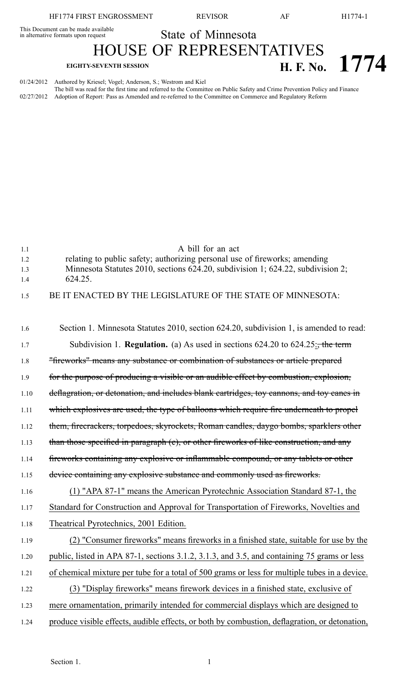This Document can be made available

This Document can be made available<br>in alternative formats upon request State of Minnesota

HOUSE OF REPRESENTATIVES **EIGHTY-SEVENTH SESSION H. F. No. 1774** 

01/24/2012 Authored by Kriesel; Vogel; Anderson, S.; Westrom and Kiel The bill was read for the first time and referred to the Committee on Public Safety and Crime Prevention Policy and Finance 02/27/2012 Adoption of Report: Pass as Amended and re-referred to the Committee on Commerce and Regulatory Reform

| 1.1  | A bill for an act                                                                             |
|------|-----------------------------------------------------------------------------------------------|
| 1.2  | relating to public safety; authorizing personal use of fireworks; amending                    |
| 1.3  | Minnesota Statutes 2010, sections 624.20, subdivision 1; 624.22, subdivision 2;               |
| 1.4  | 624.25.                                                                                       |
| 1.5  | BE IT ENACTED BY THE LEGISLATURE OF THE STATE OF MINNESOTA:                                   |
|      |                                                                                               |
| 1.6  | Section 1. Minnesota Statutes 2010, section 624.20, subdivision 1, is amended to read:        |
| 1.7  | Subdivision 1. <b>Regulation.</b> (a) As used in sections $624.20$ to $624.25$ : the term     |
| 1.8  | "fireworks" means any substance or combination of substances or article prepared              |
| 1.9  | for the purpose of producing a visible or an audible effect by combustion, explosion,         |
| 1.10 | deflagration, or detonation, and includes blank cartridges, toy cannons, and toy canes in     |
| 1.11 | which explosives are used, the type of balloons which require fire underneath to propel       |
| 1.12 | them, firecrackers, torpedoes, skyrockets, Roman candles, daygo bombs, sparklers other        |
| 1.13 | than those specified in paragraph (e), or other fireworks of like construction, and any       |
| 1.14 | fireworks containing any explosive or inflammable compound, or any tablets or other           |
| 1.15 | device containing any explosive substance and commonly used as fireworks.                     |
| 1.16 | (1) "APA 87-1" means the American Pyrotechnic Association Standard 87-1, the                  |
| 1.17 | Standard for Construction and Approval for Transportation of Fireworks, Novelties and         |
| 1.18 | Theatrical Pyrotechnics, 2001 Edition.                                                        |
| 1.19 | (2) "Consumer fireworks" means fireworks in a finished state, suitable for use by the         |
| 1.20 | public, listed in APA 87-1, sections 3.1.2, 3.1.3, and 3.5, and containing 75 grams or less   |
| 1.21 | of chemical mixture per tube for a total of 500 grams or less for multiple tubes in a device. |
| 1.22 | (3) "Display fireworks" means firework devices in a finished state, exclusive of              |
| 1.23 | mere ornamentation, primarily intended for commercial displays which are designed to          |
| 1.24 | produce visible effects, audible effects, or both by combustion, deflagration, or detonation, |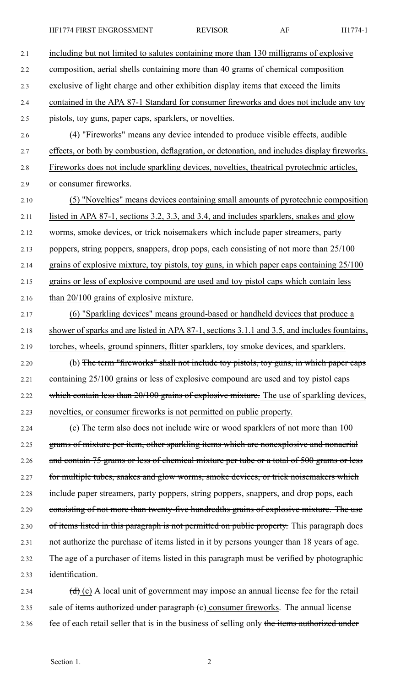HF1774 FIRST ENGROSSMENT REVISOR AF H1774-1

| 2.1  | including but not limited to salutes containing more than 130 milligrams of explosive                     |
|------|-----------------------------------------------------------------------------------------------------------|
| 2.2  | composition, aerial shells containing more than 40 grams of chemical composition                          |
| 2.3  | exclusive of light charge and other exhibition display items that exceed the limits                       |
| 2.4  | contained in the APA 87-1 Standard for consumer fireworks and does not include any toy                    |
| 2.5  | pistols, toy guns, paper caps, sparklers, or novelties.                                                   |
| 2.6  | (4) "Fireworks" means any device intended to produce visible effects, audible                             |
| 2.7  | effects, or both by combustion, deflagration, or detonation, and includes display fireworks.              |
| 2.8  | Fireworks does not include sparkling devices, novelties, the atrical pyrotechnic articles,                |
| 2.9  | or consumer fireworks.                                                                                    |
| 2.10 | (5) "Novelties" means devices containing small amounts of pyrotechnic composition                         |
| 2.11 | listed in APA 87-1, sections 3.2, 3.3, and 3.4, and includes sparklers, snakes and glow                   |
| 2.12 | worms, smoke devices, or trick noisemakers which include paper streamers, party                           |
| 2.13 | poppers, string poppers, snappers, drop pops, each consisting of not more than 25/100                     |
| 2.14 | grains of explosive mixture, toy pistols, toy guns, in which paper caps containing 25/100                 |
| 2.15 | grains or less of explosive compound are used and toy pistol caps which contain less                      |
| 2.16 | than 20/100 grains of explosive mixture.                                                                  |
| 2.17 | (6) "Sparkling devices" means ground-based or handheld devices that produce a                             |
| 2.18 | shower of sparks and are listed in APA 87-1, sections 3.1.1 and 3.5, and includes fountains,              |
| 2.19 | torches, wheels, ground spinners, flitter sparklers, toy smoke devices, and sparklers.                    |
| 2.20 | (b) The term "fireworks" shall not include toy pistols, toy guns, in which paper caps                     |
| 2.21 | containing 25/100 grains or less of explosive compound are used and toy pistol caps                       |
| 2.22 | which contain less than 20/100 grains of explosive mixture. The use of sparkling devices,                 |
| 2.23 | novelties, or consumer fireworks is not permitted on public property.                                     |
| 2.24 | (e) The term also does not include wire or wood sparklers of not more than 100                            |
| 2.25 | grams of mixture per item, other sparkling items which are nonexplosive and nonaerial                     |
| 2.26 | and contain 75 grams or less of chemical mixture per tube or a total of 500 grams or less                 |
| 2.27 | for multiple tubes, snakes and glow worms, smoke devices, or trick noisemakers which                      |
| 2.28 | include paper streamers, party poppers, string poppers, snappers, and drop pops, each                     |
| 2.29 | consisting of not more than twenty-five hundredths grains of explosive mixture. The use                   |
| 2.30 | of items listed in this paragraph is not permitted on public property. This paragraph does                |
| 2.31 | not authorize the purchase of items listed in it by persons younger than 18 years of age.                 |
| 2.32 | The age of a purchaser of items listed in this paragraph must be verified by photographic                 |
| 2.33 | identification.                                                                                           |
| 2.34 | $\left(\frac{d}{d}\right)$ (c) A local unit of government may impose an annual license fee for the retail |
| 2.35 | sale of items authorized under paragraph (e) consumer fireworks. The annual license                       |

2.36 fee of each retail seller that is in the business of selling only the items authorized under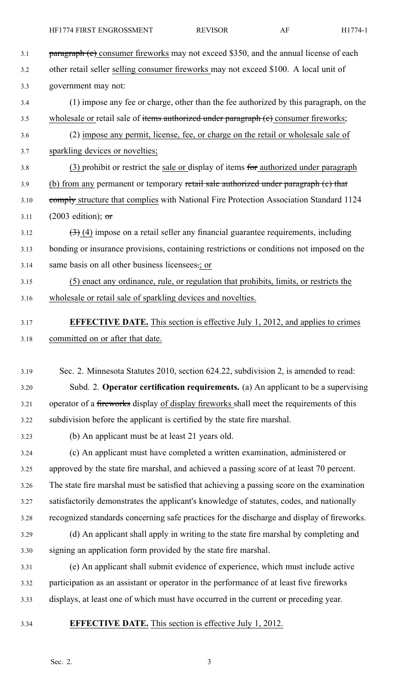- 3.1 **paragraph (c)** consumer fireworks may not exceed \$350, and the annual license of each 3.2 other retail seller selling consumer fireworks may not exceed \$100. A local unit of 3.3 government may not: 3.4 (1) impose any fee or charge, other than the fee authorized by this paragraph, on the 3.5 wholesale or retail sale of items authorized under paragraph (e) consumer fireworks; 3.6 (2) impose any permit, license, fee, or charge on the retail or wholesale sale of 3.7 sparkling devices or novelties; 3.8 (3) prohibit or restrict the sale or display of items for authorized under paragraph 3.9 (b) from any permanent or temporary retail sale authorized under paragraph (c) that 3.10 comply structure that complies with National Fire Protection Association Standard 1124 3.11 (2003 edition);  $\sigma$  $3.12$   $(3)$  (4) impose on a retail seller any financial guarantee requirements, including 3.13 bonding or insurance provisions, containing restrictions or conditions not imposed on the 3.14 same basis on all other business licensees.; or 3.15 (5) enact any ordinance, rule, or regulation that prohibits, limits, or restricts the 3.16 wholesale or retail sale of sparkling devices and novelties. 3.17 **EFFECTIVE DATE.** This section is effective July 1, 2012, and applies to crimes 3.18 committed on or after that date. 3.19 Sec. 2. Minnesota Statutes 2010, section 624.22, subdivision 2, is amended to read: 3.20 Subd. 2. **Operator certification requirements.** (a) An applicant to be <sup>a</sup> supervising 3.21 operator of a fireworks display of display fireworks shall meet the requirements of this 3.22 subdivision before the applicant is certified by the state fire marshal. 3.23 (b) An applicant must be at least 21 years old. 3.24 (c) An applicant must have completed <sup>a</sup> written examination, administered or 3.25 approved by the state fire marshal, and achieved <sup>a</sup> passing score of at least 70 percent. 3.26 The state fire marshal must be satisfied that achieving <sup>a</sup> passing score on the examination 3.27 satisfactorily demonstrates the applicant's knowledge of statutes, codes, and nationally 3.28 recognized standards concerning safe practices for the discharge and display of fireworks. 3.29 (d) An applicant shall apply in writing to the state fire marshal by completing and 3.30 signing an application form provided by the state fire marshal. 3.31 (e) An applicant shall submit evidence of experience, which must include active 3.32 participation as an assistant or operator in the performance of at least five fireworks 3.33 displays, at least one of which must have occurred in the current or preceding year.
- 
- 3.34 **EFFECTIVE DATE.** This section is effective July 1, 2012.